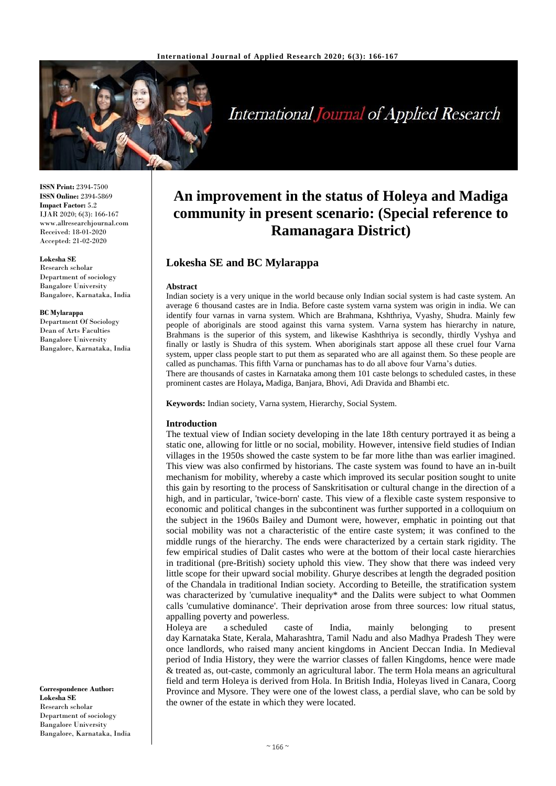

# **International Journal of Applied Research**

**ISSN Print:** 2394-7500 **ISSN Online:** 2394-5869 **Impact Factor:** 5.2 IJAR 2020; 6(3): 166-167 www.allresearchjournal.com Received: 18-01-2020 Accepted: 21-02-2020

#### **Lokesha SE**

Research scholar Department of sociology Bangalore University Bangalore, Karnataka, India

#### **BC Mylarappa**

Department Of Sociology Dean of Arts Faculties Bangalore University Bangalore, Karnataka, India

**Correspondence Author: Lokesha SE** Research scholar Department of sociology Bangalore University Bangalore, Karnataka, India

# **An improvement in the status of Holeya and Madiga community in present scenario: (Special reference to Ramanagara District)**

# **Lokesha SE and BC Mylarappa**

#### **Abstract**

Indian society is a very unique in the world because only Indian social system is had caste system. An average 6 thousand castes are in India. Before caste system varna system was origin in india. We can identify four varnas in varna system. Which are Brahmana, Kshthriya, Vyashy, Shudra. Mainly few people of aboriginals are stood against this varna system. Varna system has hierarchy in nature, Brahmans is the superior of this system, and likewise Kashthriya is secondly, thirdly Vyshya and finally or lastly is Shudra of this system. When aboriginals start appose all these cruel four Varna system, upper class people start to put them as separated who are all against them. So these people are called as punchamas. This fifth Varna or punchamas has to do all above four Varna's duties. There are thousands of castes in Karnataka among them 101 caste belongs to scheduled castes, in these

prominent castes are Holaya**,** Madiga, Banjara, Bhovi, Adi Dravida and Bhambi etc.

**Keywords:** Indian society, Varna system, Hierarchy, Social System.

#### **Introduction**

The textual view of Indian society developing in the late 18th century portrayed it as being a static one, allowing for little or no social, mobility. However, intensive field studies of Indian villages in the 1950s showed the caste system to be far more lithe than was earlier imagined. This view was also confirmed by historians. The caste system was found to have an in-built mechanism for mobility, whereby a caste which improved its secular position sought to unite this gain by resorting to the process of Sanskritisation or cultural change in the direction of a high, and in particular, 'twice-born' caste. This view of a flexible caste system responsive to economic and political changes in the subcontinent was further supported in a colloquium on the subject in the 1960s Bailey and Dumont were, however, emphatic in pointing out that social mobility was not a characteristic of the entire caste system; it was confined to the middle rungs of the hierarchy. The ends were characterized by a certain stark rigidity. The few empirical studies of Dalit castes who were at the bottom of their local caste hierarchies in traditional (pre-British) society uphold this view. They show that there was indeed very little scope for their upward social mobility. Ghurye describes at length the degraded position of the Chandala in traditional Indian society. According to Beteille, the stratification system was characterized by 'cumulative inequality\* and the Dalits were subject to what Oommen calls 'cumulative dominance'. Their deprivation arose from three sources: low ritual status, appalling poverty and powerless.

Holeya are a scheduled caste of India, mainly belonging to present day Karnataka State, Kerala, Maharashtra, Tamil Nadu and also Madhya Pradesh They were once landlords, who raised many ancient kingdoms in Ancient Deccan India. In Medieval period of India History, they were the warrior classes of fallen Kingdoms, hence were made & treated as, out-caste, commonly an agricultural labor. The term Hola means an agricultural field and term Holeya is derived from Hola. In British India, Holeyas lived in Canara, Coorg Province and Mysore. They were one of the lowest class, a perdial slave, who can be sold by the owner of the estate in which they were located.